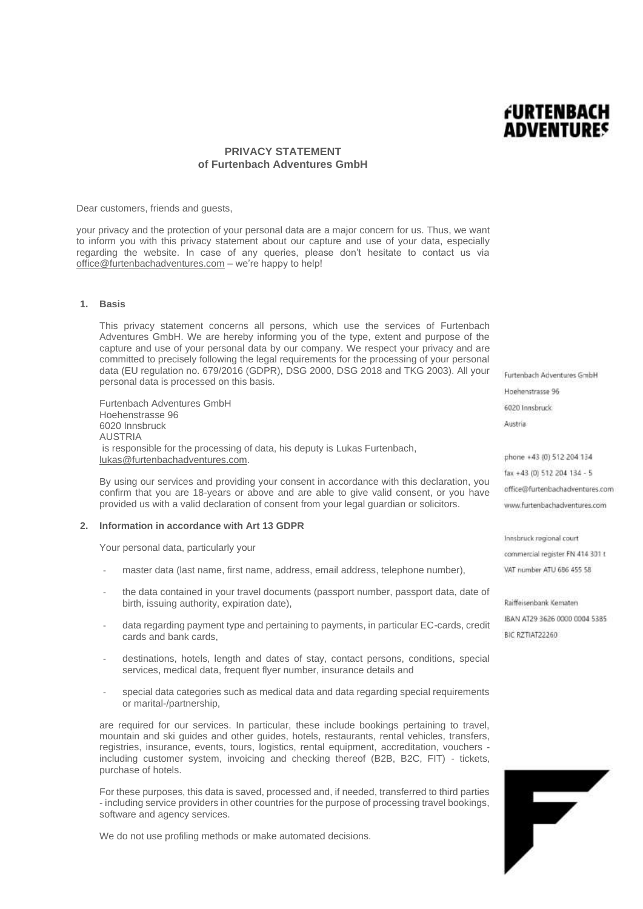## **PRIVACY STATEMENT of Furtenbach Adventures GmbH**

Dear customers, friends and guests,

your privacy and the protection of your personal data are a major concern for us. Thus, we want to inform you with this privacy statement about our capture and use of your data, especially regarding the website. In case of any queries, please don't hesitate to contact us via [office@furtenbachadventures.com](mailto:office@furtenbachadventures.com) – we're happy to help!

### **1. Basis**

This privacy statement concerns all persons, which use the services of Furtenbach Adventures GmbH. We are hereby informing you of the type, extent and purpose of the capture and use of your personal data by our company. We respect your privacy and are committed to precisely following the legal requirements for the processing of your personal data (EU regulation no. 679/2016 (GDPR), DSG 2000, DSG 2018 and TKG 2003). All your personal data is processed on this basis.

Furtenbach Adventures GmbH Hoehenstrasse 96 6020 Innsbruck AUSTRIA is responsible for the processing of data, his deputy is Lukas Furtenbach, [lukas@furtenbachadventures.com.](mailto:lukas@furtenbachadventures.com)

By using our services and providing your consent in accordance with this declaration, you confirm that you are 18-years or above and are able to give valid consent, or you have provided us with a valid declaration of consent from your legal guardian or solicitors.

#### **2. Information in accordance with Art 13 GDPR**

Your personal data, particularly your

- master data (last name, first name, address, email address, telephone number),
- the data contained in your travel documents (passport number, passport data, date of birth, issuing authority, expiration date),
- data regarding payment type and pertaining to payments, in particular EC-cards, credit cards and bank cards,
- destinations, hotels, length and dates of stay, contact persons, conditions, special services, medical data, frequent flyer number, insurance details and
- special data categories such as medical data and data regarding special requirements or marital-/partnership,

are required for our services. In particular, these include bookings pertaining to travel, mountain and ski guides and other guides, hotels, restaurants, rental vehicles, transfers, registries, insurance, events, tours, logistics, rental equipment, accreditation, vouchers including customer system, invoicing and checking thereof (B2B, B2C, FIT) - tickets, purchase of hotels.

For these purposes, this data is saved, processed and, if needed, transferred to third parties - including service providers in other countries for the purpose of processing travel bookings, software and agency services.

We do not use profiling methods or make automated decisions.

Furtenbach Adventures GmbH Hoehenstrasse 96 6020 Innsbruck Austria

FURTENBACH **ADVENTURES** 

phone +43 (0) 512 204 134 fax +43 (0) 512 204 134 - 5 office@furtenbachadventures.com www.furtenbachadventures.com

Innsbruck regional court commercial register FN 414 301 t VAT number ATU 686 455 58

Raiffeisenbank Kematen IBAN AT29 3626 0000 0004 5385 RIC RZTIAT22260

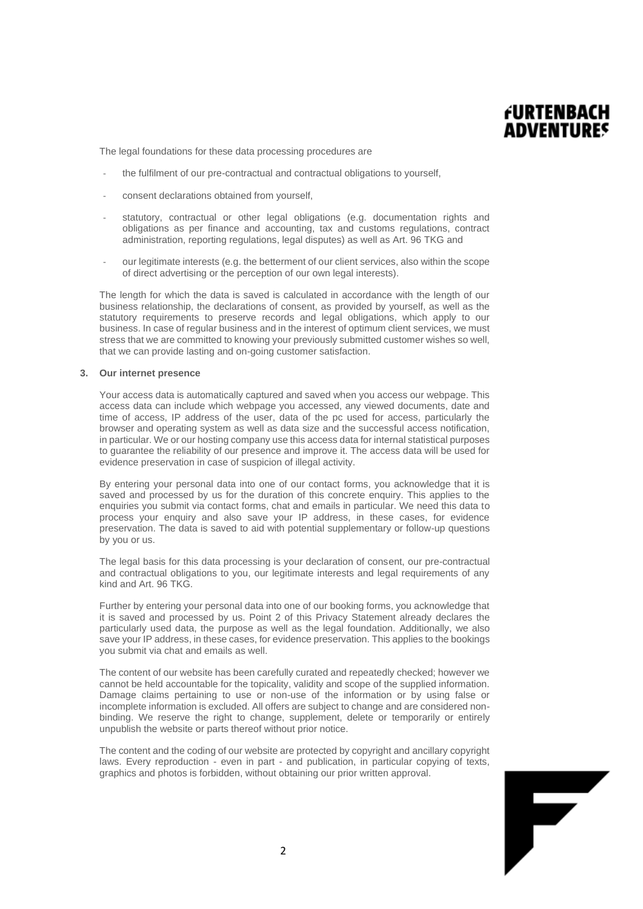

The legal foundations for these data processing procedures are

- the fulfilment of our pre-contractual and contractual obligations to yourself.
- consent declarations obtained from yourself,
- statutory, contractual or other legal obligations (e.g. documentation rights and obligations as per finance and accounting, tax and customs regulations, contract administration, reporting regulations, legal disputes) as well as Art. 96 TKG and
- our legitimate interests (e.g. the betterment of our client services, also within the scope of direct advertising or the perception of our own legal interests).

The length for which the data is saved is calculated in accordance with the length of our business relationship, the declarations of consent, as provided by yourself, as well as the statutory requirements to preserve records and legal obligations, which apply to our business. In case of regular business and in the interest of optimum client services, we must stress that we are committed to knowing your previously submitted customer wishes so well, that we can provide lasting and on-going customer satisfaction.

## **3. Our internet presence**

Your access data is automatically captured and saved when you access our webpage. This access data can include which webpage you accessed, any viewed documents, date and time of access, IP address of the user, data of the pc used for access, particularly the browser and operating system as well as data size and the successful access notification, in particular. We or our hosting company use this access data for internal statistical purposes to guarantee the reliability of our presence and improve it. The access data will be used for evidence preservation in case of suspicion of illegal activity.

By entering your personal data into one of our contact forms, you acknowledge that it is saved and processed by us for the duration of this concrete enquiry. This applies to the enquiries you submit via contact forms, chat and emails in particular. We need this data to process your enquiry and also save your IP address, in these cases, for evidence preservation. The data is saved to aid with potential supplementary or follow-up questions by you or us.

The legal basis for this data processing is your declaration of consent, our pre-contractual and contractual obligations to you, our legitimate interests and legal requirements of any kind and Art. 96 TKG.

Further by entering your personal data into one of our booking forms, you acknowledge that it is saved and processed by us. Point 2 of this Privacy Statement already declares the particularly used data, the purpose as well as the legal foundation. Additionally, we also save your IP address, in these cases, for evidence preservation. This applies to the bookings you submit via chat and emails as well.

The content of our website has been carefully curated and repeatedly checked; however we cannot be held accountable for the topicality, validity and scope of the supplied information. Damage claims pertaining to use or non-use of the information or by using false or incomplete information is excluded. All offers are subject to change and are considered nonbinding. We reserve the right to change, supplement, delete or temporarily or entirely unpublish the website or parts thereof without prior notice.

The content and the coding of our website are protected by copyright and ancillary copyright laws. Every reproduction - even in part - and publication, in particular copying of texts, graphics and photos is forbidden, without obtaining our prior written approval.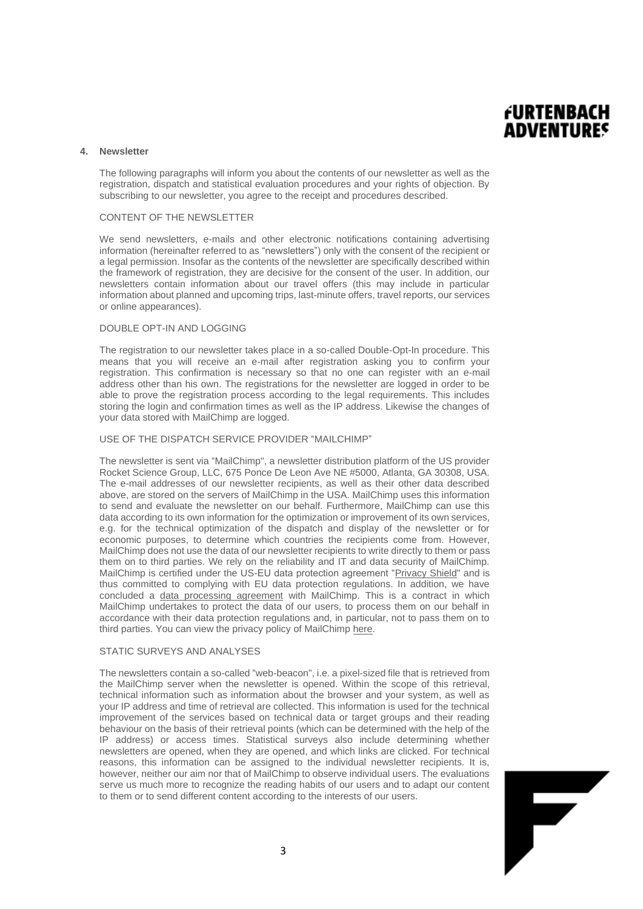

### **4. Newsletter**

The following paragraphs will inform you about the contents of our newsletter as well as the registration, dispatch and statistical evaluation procedures and your rights of objection. By subscribing to our newsletter, you agree to the receipt and procedures described.

## CONTENT OF THE NEWSLETTER

We send newsletters, e-mails and other electronic notifications containing advertising information (hereinafter referred to as "newsletters") only with the consent of the recipient or a legal permission. Insofar as the contents of the newsletter are specifically described within the framework of registration, they are decisive for the consent of the user. In addition, our newsletters contain information about our travel offers (this may include in particular information about planned and upcoming trips, last-minute offers, travel reports, our services or online appearances).

## DOUBLE OPT-IN AND LOGGING

The registration to our newsletter takes place in a so-called Double-Opt-In procedure. This means that you will receive an e-mail after registration asking you to confirm your registration. This confirmation is necessary so that no one can register with an e-mail address other than his own. The registrations for the newsletter are logged in order to be able to prove the registration process according to the legal requirements. This includes storing the login and confirmation times as well as the IP address. Likewise the changes of your data stored with MailChimp are logged.

### USE OF THE DISPATCH SERVICE PROVIDER "MAILCHIMP"

The newsletter is sent via "MailChimp", a newsletter distribution platform of the US provider Rocket Science Group, LLC, 675 Ponce De Leon Ave NE #5000, Atlanta, GA 30308, USA. The e-mail addresses of our newsletter recipients, as well as their other data described above, are stored on the servers of MailChimp in the USA. MailChimp uses this information to send and evaluate the newsletter on our behalf. Furthermore, MailChimp can use this data according to its own information for the optimization or improvement of its own services, e.g. for the technical optimization of the dispatch and display of the newsletter or for economic purposes, to determine which countries the recipients come from. However, MailChimp does not use the data of our newsletter recipients to write directly to them or pass them on to third parties. We rely on the reliability and IT and data security of MailChimp. MailChimp is certified under the US-EU data protection agreement ["Privacy Shield"](https://www.privacyshield.gov/participant?id=a2zt0000000TO6hAAG) and is thus committed to complying with EU data protection regulations. In addition, we have concluded a [data processing agreement](http://mailchimp.com/legal/forms/data-processing-agreement/) with MailChimp. This is a contract in which MailChimp undertakes to protect the data of our users, to process them on our behalf in accordance with their data protection regulations and, in particular, not to pass them on to third parties. You can view the privacy policy of MailChim[p here.](http://mailchimp.com/legal/privacy/)

### STATIC SURVEYS AND ANALYSES

The newsletters contain a so-called "web-beacon", i.e. a pixel-sized file that is retrieved from the MailChimp server when the newsletter is opened. Within the scope of this retrieval, technical information such as information about the browser and your system, as well as your IP address and time of retrieval are collected. This information is used for the technical improvement of the services based on technical data or target groups and their reading behaviour on the basis of their retrieval points (which can be determined with the help of the IP address) or access times. Statistical surveys also include determining whether newsletters are opened, when they are opened, and which links are clicked. For technical reasons, this information can be assigned to the individual newsletter recipients. It is, however, neither our aim nor that of MailChimp to observe individual users. The evaluations serve us much more to recognize the reading habits of our users and to adapt our content to them or to send different content according to the interests of our users.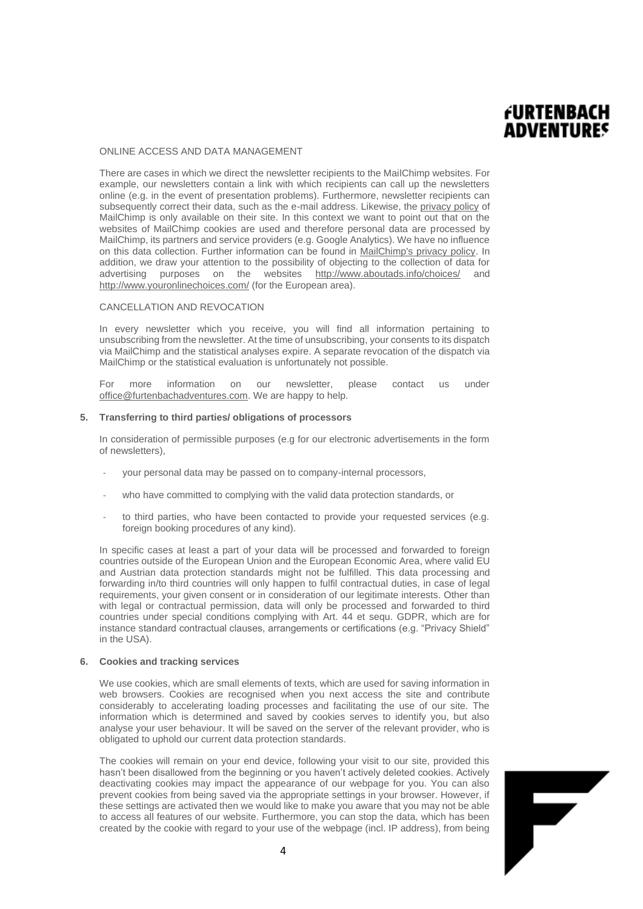# **FURTENBACH ADVENTURES**

F

## ONLINE ACCESS AND DATA MANAGEMENT

There are cases in which we direct the newsletter recipients to the MailChimp websites. For example, our newsletters contain a link with which recipients can call up the newsletters online (e.g. in the event of presentation problems). Furthermore, newsletter recipients can subsequently correct their data, such as the e-mail address. Likewise, the [privacy policy](http://mailchimp.com/legal/privacy/) of MailChimp is only available on their site. In this context we want to point out that on the websites of MailChimp cookies are used and therefore personal data are processed by MailChimp, its partners and service providers (e.g. Google Analytics). We have no influence on this data collection. Further information can be found in [MailChimp's privacy policy.](http://mailchimp.com/legal/privacy/) In addition, we draw your attention to the possibility of objecting to the collection of data for advertising purposes on the websites <http://www.aboutads.info/choices/> and <http://www.youronlinechoices.com/> (for the European area).

## CANCELLATION AND REVOCATION

In every newsletter which you receive, you will find all information pertaining to unsubscribing from the newsletter. At the time of unsubscribing, your consents to its dispatch via MailChimp and the statistical analyses expire. A separate revocation of the dispatch via MailChimp or the statistical evaluation is unfortunately not possible.

For more information on our newsletter, please contact us under [office@furtenbachadventures.com.](mailto:office@furtenbachadventures.com) We are happy to help.

### **5. Transferring to third parties/ obligations of processors**

In consideration of permissible purposes (e.g for our electronic advertisements in the form of newsletters),

- your personal data may be passed on to company-internal processors,
- who have committed to complying with the valid data protection standards, or
- to third parties, who have been contacted to provide your requested services (e.g. foreign booking procedures of any kind).

In specific cases at least a part of your data will be processed and forwarded to foreign countries outside of the European Union and the European Economic Area, where valid EU and Austrian data protection standards might not be fulfilled. This data processing and forwarding in/to third countries will only happen to fulfil contractual duties, in case of legal requirements, your given consent or in consideration of our legitimate interests. Other than with legal or contractual permission, data will only be processed and forwarded to third countries under special conditions complying with Art. 44 et sequ. GDPR, which are for instance standard contractual clauses, arrangements or certifications (e.g. "Privacy Shield" in the USA).

#### **6. Cookies and tracking services**

We use cookies, which are small elements of texts, which are used for saving information in web browsers. Cookies are recognised when you next access the site and contribute considerably to accelerating loading processes and facilitating the use of our site. The information which is determined and saved by cookies serves to identify you, but also analyse your user behaviour. It will be saved on the server of the relevant provider, who is obligated to uphold our current data protection standards.

The cookies will remain on your end device, following your visit to our site, provided this hasn't been disallowed from the beginning or you haven't actively deleted cookies. Actively deactivating cookies may impact the appearance of our webpage for you. You can also prevent cookies from being saved via the appropriate settings in your browser. However, if these settings are activated then we would like to make you aware that you may not be able to access all features of our website. Furthermore, you can stop the data, which has been created by the cookie with regard to your use of the webpage (incl. IP address), from being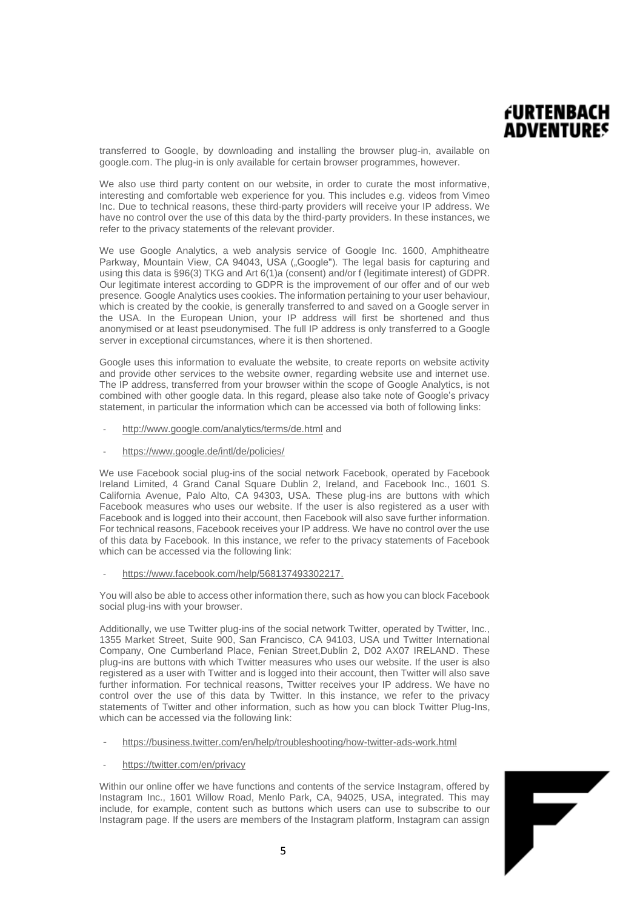## **FURTENBACH ADVENTURES**

F

transferred to Google, by downloading and installing the browser plug-in, available on google.com. The plug-in is only available for certain browser programmes, however.

We also use third party content on our website, in order to curate the most informative, interesting and comfortable web experience for you. This includes e.g. videos from Vimeo Inc. Due to technical reasons, these third-party providers will receive your IP address. We have no control over the use of this data by the third-party providers. In these instances, we refer to the privacy statements of the relevant provider.

We use Google Analytics, a web analysis service of Google Inc. 1600, Amphitheatre Parkway, Mountain View, CA 94043, USA ("Google"). The legal basis for capturing and using this data is §96(3) TKG and Art 6(1)a (consent) and/or f (legitimate interest) of GDPR. Our legitimate interest according to GDPR is the improvement of our offer and of our web presence. Google Analytics uses cookies. The information pertaining to your user behaviour, which is created by the cookie, is generally transferred to and saved on a Google server in the USA. In the European Union, your IP address will first be shortened and thus anonymised or at least pseudonymised. The full IP address is only transferred to a Google server in exceptional circumstances, where it is then shortened.

Google uses this information to evaluate the website, to create reports on website activity and provide other services to the website owner, regarding website use and internet use. The IP address, transferred from your browser within the scope of Google Analytics, is not combined with other google data. In this regard, please also take note of Google's privacy statement, in particular the information which can be accessed via both of following links:

- <http://www.google.com/analytics/terms/de.html> and
- <https://www.google.de/intl/de/policies/>

We use Facebook social plug-ins of the social network Facebook, operated by Facebook Ireland Limited, 4 Grand Canal Square Dublin 2, Ireland, and Facebook Inc., 1601 S. California Avenue, Palo Alto, CA 94303, USA. These plug-ins are buttons with which Facebook measures who uses our website. If the user is also registered as a user with Facebook and is logged into their account, then Facebook will also save further information. For technical reasons, Facebook receives your IP address. We have no control over the use of this data by Facebook. In this instance, we refer to the privacy statements of Facebook which can be accessed via the following link:

[https://www.facebook.com/help/568137493302217.](https://www.facebook.com/help/568137493302217)

You will also be able to access other information there, such as how you can block Facebook social plug-ins with your browser.

Additionally, we use Twitter plug-ins of the social network Twitter, operated by Twitter, Inc., 1355 Market Street, Suite 900, San Francisco, CA 94103, USA und Twitter International Company, One Cumberland Place, Fenian Street,Dublin 2, D02 AX07 IRELAND. These plug-ins are buttons with which Twitter measures who uses our website. If the user is also registered as a user with Twitter and is logged into their account, then Twitter will also save further information. For technical reasons, Twitter receives your IP address. We have no control over the use of this data by Twitter. In this instance, we refer to the privacy statements of Twitter and other information, such as how you can block Twitter Plug-Ins, which can be accessed via the following link:

- <https://business.twitter.com/en/help/troubleshooting/how-twitter-ads-work.html>
- <https://twitter.com/en/privacy>

Within our online offer we have functions and contents of the service Instagram, offered by Instagram Inc., 1601 Willow Road, Menlo Park, CA, 94025, USA, integrated. This may include, for example, content such as buttons which users can use to subscribe to our Instagram page. If the users are members of the Instagram platform, Instagram can assign